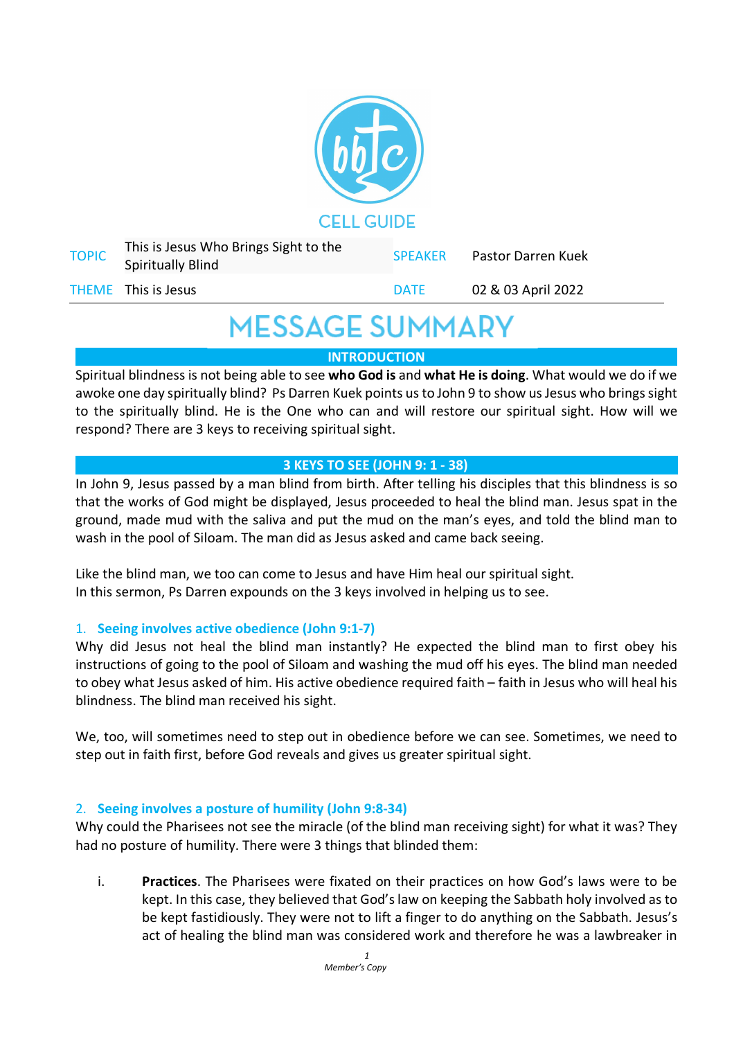

| <b>TOPIC</b> | This is Jesus Who Brings Sight to the<br><b>Spiritually Blind</b> | <b>SPEAKER</b> | Pastor Darren Kuek |
|--------------|-------------------------------------------------------------------|----------------|--------------------|
|              | THEME This is Jesus                                               | <b>DATE</b>    | 02 & 03 April 2022 |

## **MESSAGE SUMMARY**

**INTRODUCTION**

Spiritual blindness is not being able to see **who God is** and **what He is doing**. What would we do if we awoke one day spiritually blind? Ps Darren Kuek points us to John 9 to show us Jesus who brings sight to the spiritually blind. He is the One who can and will restore our spiritual sight. How will we respond? There are 3 keys to receiving spiritual sight.

### **3 KEYS TO SEE (JOHN 9: 1 - 38)**

In John 9, Jesus passed by a man blind from birth. After telling his disciples that this blindness is so that the works of God might be displayed, Jesus proceeded to heal the blind man. Jesus spat in the ground, made mud with the saliva and put the mud on the man's eyes, and told the blind man to wash in the pool of Siloam. The man did as Jesus asked and came back seeing.

Like the blind man, we too can come to Jesus and have Him heal our spiritual sight. In this sermon, Ps Darren expounds on the 3 keys involved in helping us to see.

### 1. **Seeing involves active obedience (John 9:1-7)**

Why did Jesus not heal the blind man instantly? He expected the blind man to first obey his instructions of going to the pool of Siloam and washing the mud off his eyes. The blind man needed to obey what Jesus asked of him. His active obedience required faith – faith in Jesus who will heal his blindness. The blind man received his sight.

We, too, will sometimes need to step out in obedience before we can see. Sometimes, we need to step out in faith first, before God reveals and gives us greater spiritual sight.

### 2. **Seeing involves a posture of humility (John 9:8-34)**

Why could the Pharisees not see the miracle (of the blind man receiving sight) for what it was? They had no posture of humility. There were 3 things that blinded them:

i. **Practices**. The Pharisees were fixated on their practices on how God's laws were to be kept. In this case, they believed that God's law on keeping the Sabbath holy involved as to be kept fastidiously. They were not to lift a finger to do anything on the Sabbath. Jesus's act of healing the blind man was considered work and therefore he was a lawbreaker in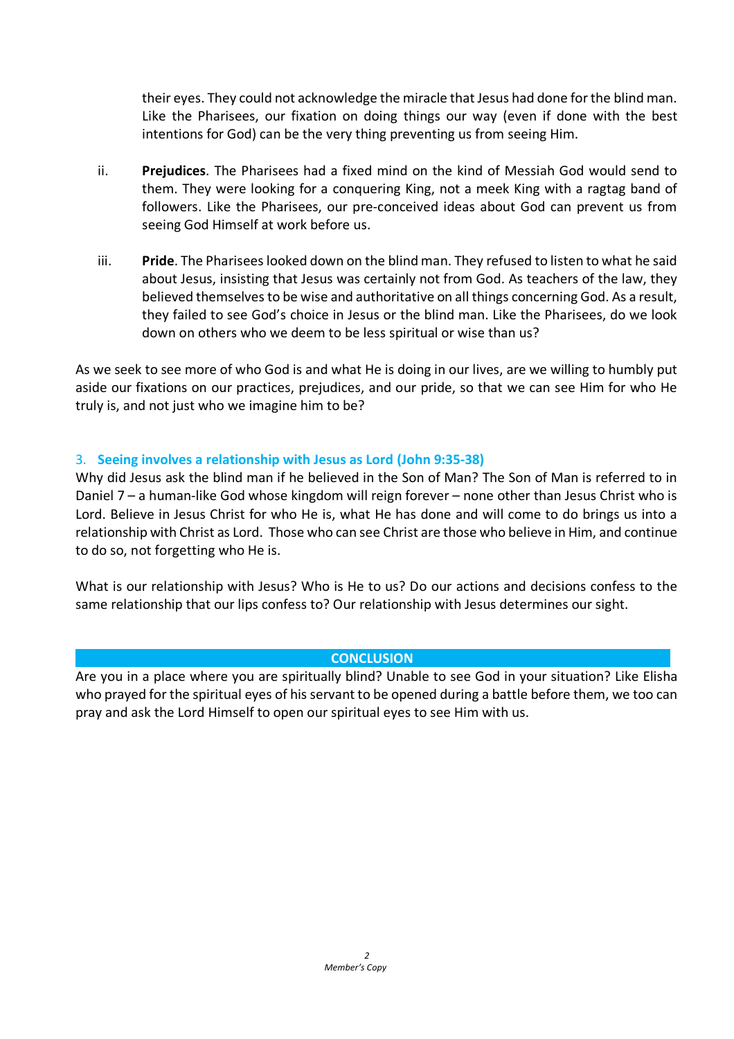their eyes. They could not acknowledge the miracle that Jesus had done for the blind man. Like the Pharisees, our fixation on doing things our way (even if done with the best intentions for God) can be the very thing preventing us from seeing Him.

- ii. **Prejudices**. The Pharisees had a fixed mind on the kind of Messiah God would send to them. They were looking for a conquering King, not a meek King with a ragtag band of followers. Like the Pharisees, our pre-conceived ideas about God can prevent us from seeing God Himself at work before us.
- iii. **Pride**. The Pharisees looked down on the blind man. They refused to listen to what he said about Jesus, insisting that Jesus was certainly not from God. As teachers of the law, they believed themselves to be wise and authoritative on all things concerning God. As a result, they failed to see God's choice in Jesus or the blind man. Like the Pharisees, do we look down on others who we deem to be less spiritual or wise than us?

As we seek to see more of who God is and what He is doing in our lives, are we willing to humbly put aside our fixations on our practices, prejudices, and our pride, so that we can see Him for who He truly is, and not just who we imagine him to be?

#### 3. **Seeing involves a relationship with Jesus as Lord (John 9:35-38)**

Why did Jesus ask the blind man if he believed in the Son of Man? The Son of Man is referred to in Daniel 7 – a human-like God whose kingdom will reign forever – none other than Jesus Christ who is Lord. Believe in Jesus Christ for who He is, what He has done and will come to do brings us into a relationship with Christ as Lord. Those who can see Christ are those who believe in Him, and continue to do so, not forgetting who He is.

What is our relationship with Jesus? Who is He to us? Do our actions and decisions confess to the same relationship that our lips confess to? Our relationship with Jesus determines our sight.

#### **CONCLUSION**

Are you in a place where you are spiritually blind? Unable to see God in your situation? Like Elisha who prayed for the spiritual eyes of his servant to be opened during a battle before them, we too can pray and ask the Lord Himself to open our spiritual eyes to see Him with us.